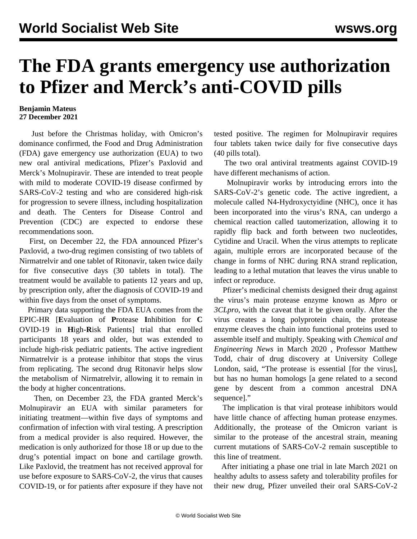## **The FDA grants emergency use authorization to Pfizer and Merck's anti-COVID pills**

## **Benjamin Mateus 27 December 2021**

 Just before the Christmas holiday, with Omicron's dominance confirmed, the Food and Drug Administration (FDA) gave emergency use authorization (EUA) to two new oral antiviral medications, Pfizer's Paxlovid and Merck's Molnupiravir. These are intended to treat people with mild to moderate COVID-19 disease confirmed by SARS-CoV-2 testing and who are considered high-risk for progression to severe illness, including hospitalization and death. The Centers for Disease Control and Prevention (CDC) are expected to endorse these recommendations soon.

 First, on December 22, the FDA announced Pfizer's Paxlovid, a two-drug regimen consisting of two tablets of Nirmatrelvir and one tablet of Ritonavir, taken twice daily for five consecutive days (30 tablets in total). The treatment would be available to patients 12 years and up, by prescription only, after the diagnosis of COVID-19 and within five days from the onset of symptoms.

 Primary data supporting the FDA EUA comes from the [EPIC-HR](https://www.pfizer.com/news/press-release/press-release-detail/pfizer-receives-us-fda-emergency-use-authorization-novel) [**E**valuation of **P**rotease **I**nhibition for **C** OVID-19 in **H**igh-**R**isk Patients] trial that enrolled participants 18 years and older, but was extended to include high-risk pediatric patients. The active ingredient Nirmatrelvir is a protease inhibitor that stops the virus from replicating. The second drug Ritonavir helps slow the metabolism of Nirmatrelvir, allowing it to remain in the body at higher concentrations.

 Then, on December 23, the FDA granted Merck's [Molnupiravir](/en/articles/2021/10/05/pill-o05.html) an EUA with similar parameters for initiating treatment—within five days of symptoms and confirmation of infection with viral testing. A prescription from a medical provider is also required. However, the medication is only authorized for those 18 or up due to the drug's potential impact on bone and cartilage growth. Like Paxlovid, the treatment has not received approval for use before exposure to SARS-CoV-2, the virus that causes COVID-19, or for patients after exposure if they have not

tested positive. The regimen for Molnupiravir requires four tablets taken twice daily for five consecutive days (40 pills total).

 The two oral antiviral treatments against COVID-19 have different mechanisms of action.

 Molnupiravir works by introducing errors into the SARS-CoV-2's genetic code. The active ingredient, a molecule called N4-Hydroxyctyidine (NHC), once it has been incorporated into the virus's RNA, can undergo a chemical reaction called tautomerization, allowing it to rapidly flip back and forth between two nucleotides, Cytidine and Uracil. When the virus attempts to replicate again, multiple errors are incorporated because of the change in forms of NHC during RNA strand replication, leading to a lethal mutation that leaves the virus unable to infect or reproduce.

 Pfizer's medicinal chemists designed their drug against the virus's main protease enzyme known as *Mpro* or *3CLpro*, with the caveat that it be given orally. After the virus creates a long polyprotein chain, the protease enzyme cleaves the chain into functional proteins used to assemble itself and multiply. Speaking with *Chemical and Engineering News* in March 2020 *,* Professor Matthew Todd, chair of drug discovery at University College London, said, "The protease is essential [for the virus], but has no human homologs [a gene related to a second gene by descent from a common ancestral DNA sequence]."

 The implication is that viral protease inhibitors would have little chance of affecting human protease enzymes. Additionally, the protease of the Omicron variant is similar to the protease of the ancestral strain, meaning current mutations of SARS-CoV-2 remain susceptible to this line of treatment.

 After initiating a phase one trial in late March 2021 on healthy adults to assess safety and tolerability profiles for their new drug, Pfizer unveiled their oral SARS-CoV-2